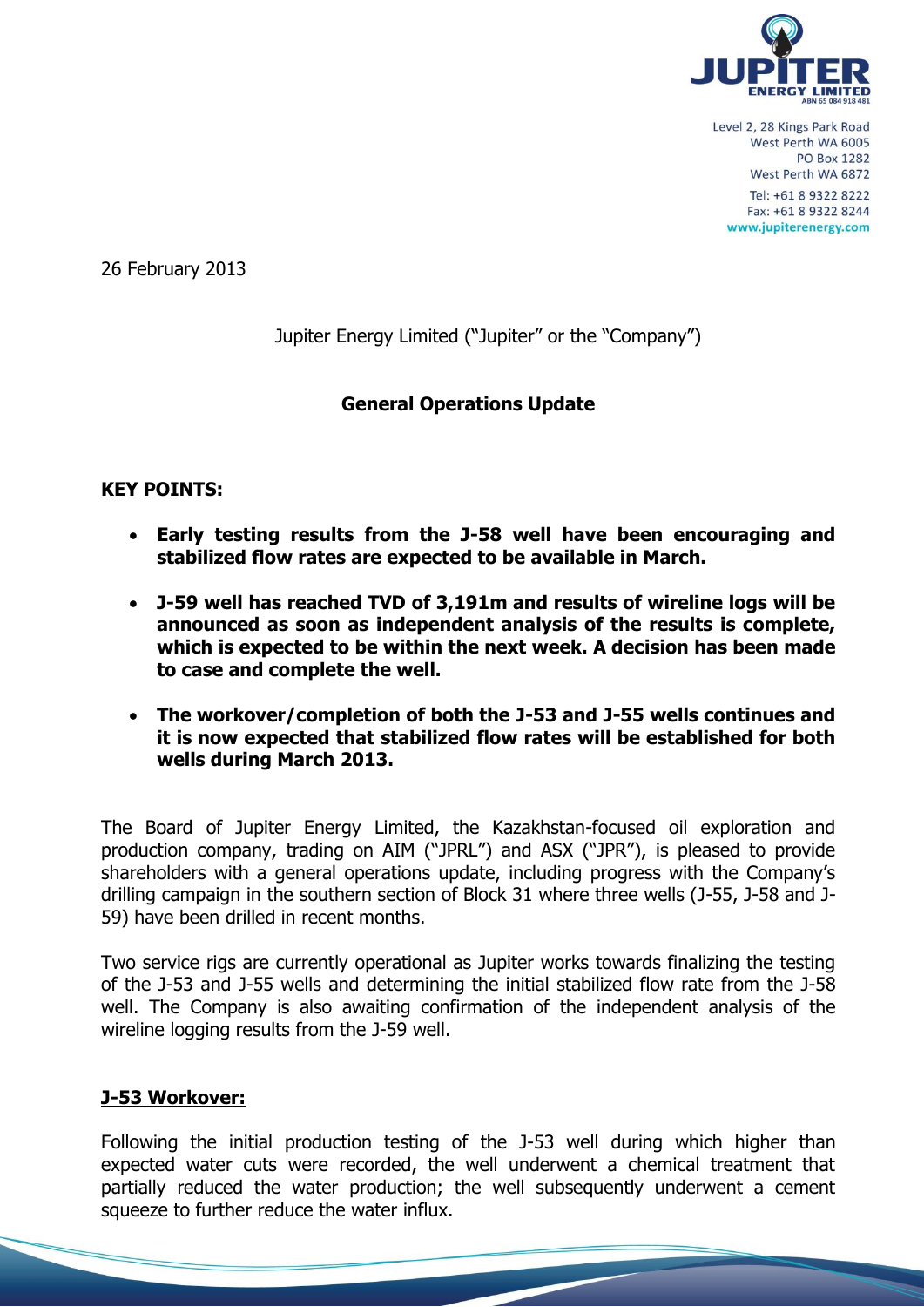

26 February 2013

Jupiter Energy Limited ("Jupiter" or the "Company")

# **General Operations Update**

## **KEY POINTS:**

- **Early testing results from the J-58 well have been encouraging and stabilized flow rates are expected to be available in March.**
- **J-59 well has reached TVD of 3,191m and results of wireline logs will be announced as soon as independent analysis of the results is complete, which is expected to be within the next week. A decision has been made to case and complete the well.**
- **The workover/completion of both the J-53 and J-55 wells continues and it is now expected that stabilized flow rates will be established for both wells during March 2013.**

The Board of Jupiter Energy Limited, the Kazakhstan-focused oil exploration and production company, trading on AIM ("JPRL") and ASX ("JPR"), is pleased to provide shareholders with a general operations update, including progress with the Company's drilling campaign in the southern section of Block 31 where three wells (J-55, J-58 and J-59) have been drilled in recent months.

Two service rigs are currently operational as Jupiter works towards finalizing the testing of the J-53 and J-55 wells and determining the initial stabilized flow rate from the J-58 well. The Company is also awaiting confirmation of the independent analysis of the wireline logging results from the J-59 well.

## **J-53 Workover:**

Following the initial production testing of the J-53 well during which higher than expected water cuts were recorded, the well underwent a chemical treatment that partially reduced the water production; the well subsequently underwent a cement squeeze to further reduce the water influx.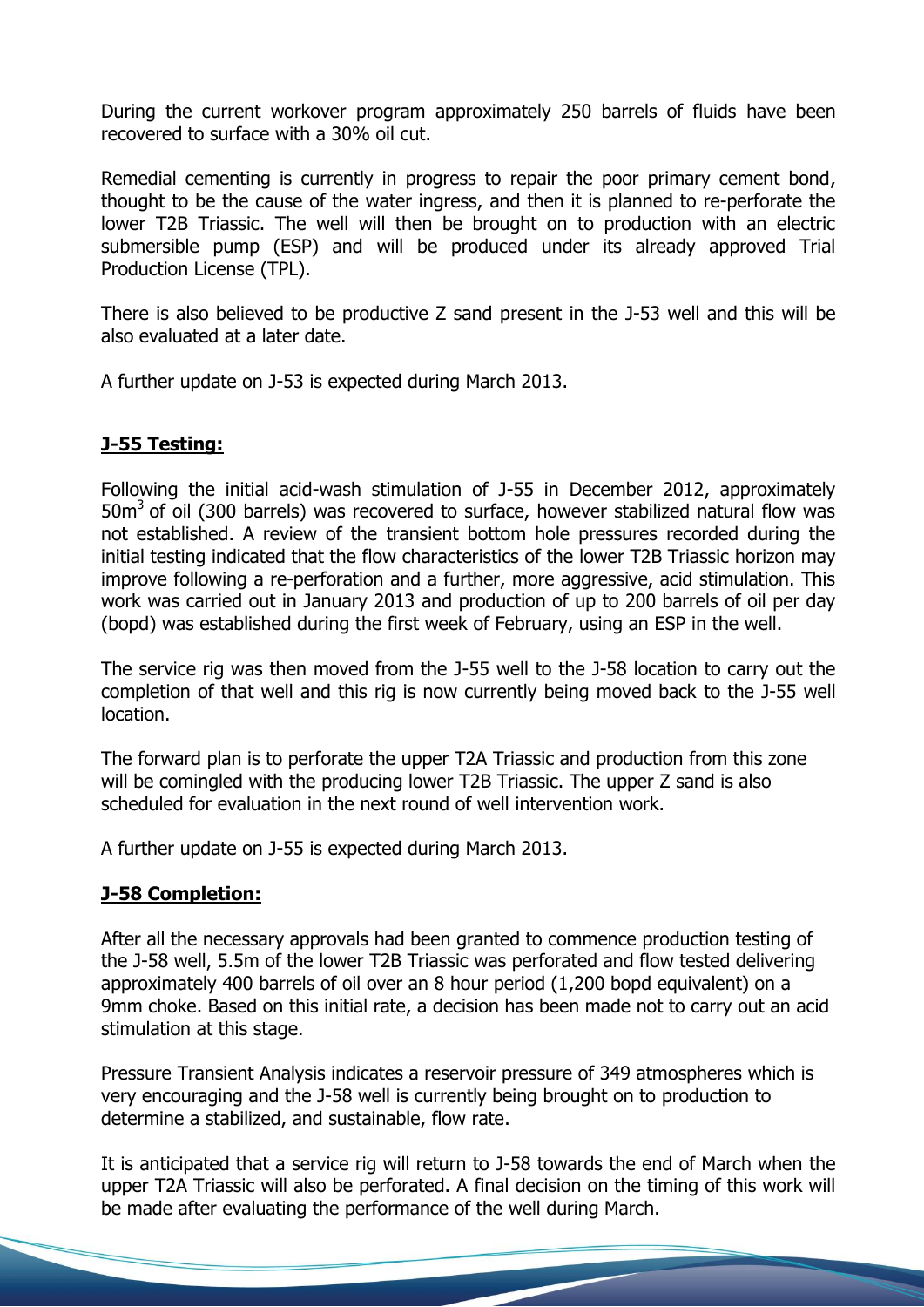During the current workover program approximately 250 barrels of fluids have been recovered to surface with a 30% oil cut.

Remedial cementing is currently in progress to repair the poor primary cement bond, thought to be the cause of the water ingress, and then it is planned to re-perforate the lower T2B Triassic. The well will then be brought on to production with an electric submersible pump (ESP) and will be produced under its already approved Trial Production License (TPL).

There is also believed to be productive Z sand present in the J-53 well and this will be also evaluated at a later date.

A further update on J-53 is expected during March 2013.

# **J-55 Testing:**

Following the initial acid-wash stimulation of J-55 in December 2012, approximately  $50m<sup>3</sup>$  of oil (300 barrels) was recovered to surface, however stabilized natural flow was not established. A review of the transient bottom hole pressures recorded during the initial testing indicated that the flow characteristics of the lower T2B Triassic horizon may improve following a re-perforation and a further, more aggressive, acid stimulation. This work was carried out in January 2013 and production of up to 200 barrels of oil per day (bopd) was established during the first week of February, using an ESP in the well.

The service rig was then moved from the J-55 well to the J-58 location to carry out the completion of that well and this rig is now currently being moved back to the J-55 well location.

The forward plan is to perforate the upper T2A Triassic and production from this zone will be comingled with the producing lower T2B Triassic. The upper Z sand is also scheduled for evaluation in the next round of well intervention work.

A further update on J-55 is expected during March 2013.

## **J-58 Completion:**

After all the necessary approvals had been granted to commence production testing of the J-58 well, 5.5m of the lower T2B Triassic was perforated and flow tested delivering approximately 400 barrels of oil over an 8 hour period (1,200 bopd equivalent) on a 9mm choke. Based on this initial rate, a decision has been made not to carry out an acid stimulation at this stage.

Pressure Transient Analysis indicates a reservoir pressure of 349 atmospheres which is very encouraging and the J-58 well is currently being brought on to production to determine a stabilized, and sustainable, flow rate.

It is anticipated that a service rig will return to J-58 towards the end of March when the upper T2A Triassic will also be perforated. A final decision on the timing of this work will be made after evaluating the performance of the well during March.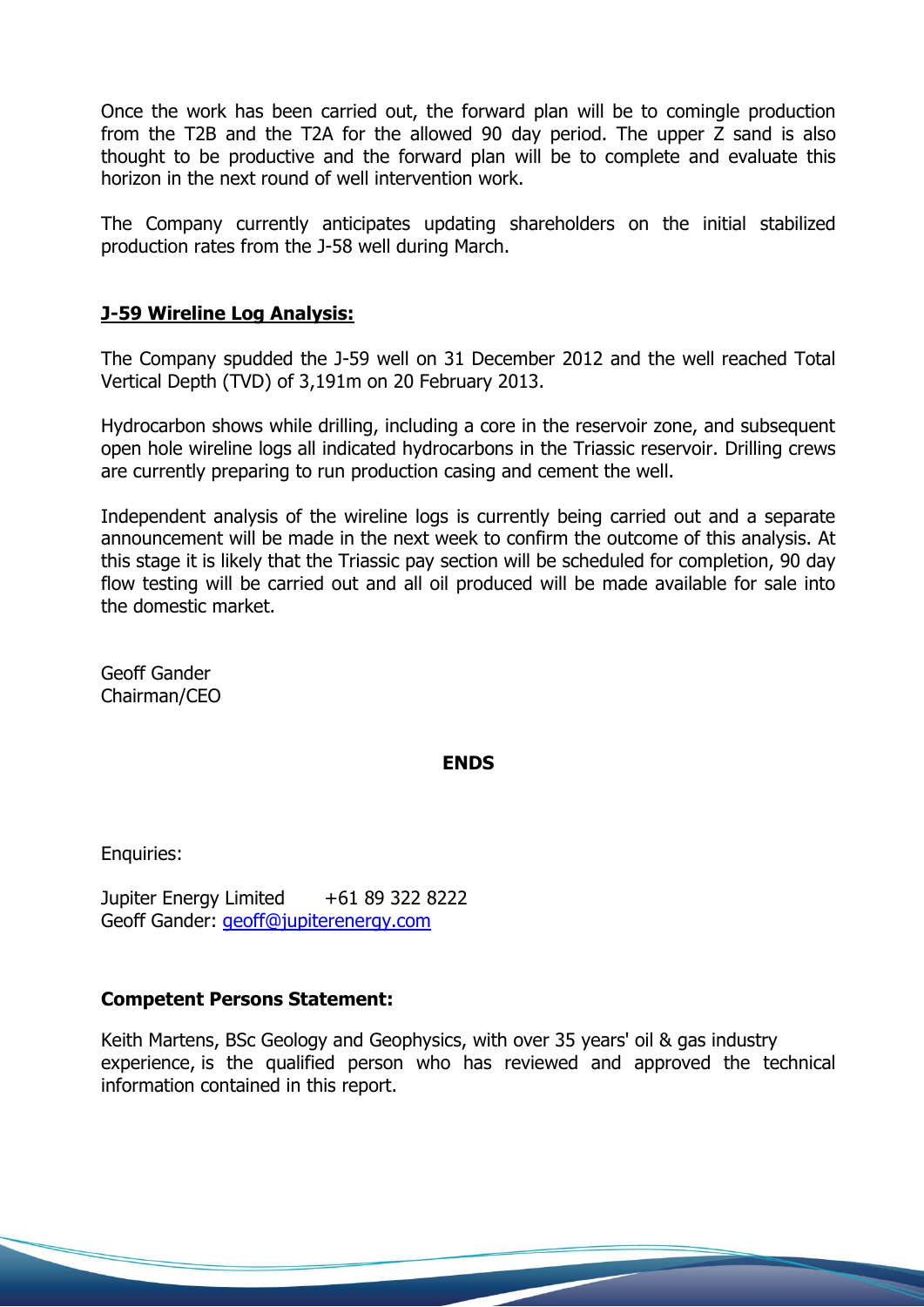Once the work has been carried out, the forward plan will be to comingle production from the T2B and the T2A for the allowed 90 day period. The upper Z sand is also thought to be productive and the forward plan will be to complete and evaluate this horizon in the next round of well intervention work.

The Company currently anticipates updating shareholders on the initial stabilized production rates from the J-58 well during March.

# **J-59 Wireline Log Analysis:**

The Company spudded the J-59 well on 31 December 2012 and the well reached Total Vertical Depth (TVD) of 3,191m on 20 February 2013.

Hydrocarbon shows while drilling, including a core in the reservoir zone, and subsequent open hole wireline logs all indicated hydrocarbons in the Triassic reservoir. Drilling crews are currently preparing to run production casing and cement the well.

Independent analysis of the wireline logs is currently being carried out and a separate announcement will be made in the next week to confirm the outcome of this analysis. At this stage it is likely that the Triassic pay section will be scheduled for completion, 90 day flow testing will be carried out and all oil produced will be made available for sale into the domestic market.

Geoff Gander Chairman/CEO

### **ENDS**

Enquiries:

Jupiter Energy Limited +61 89 322 8222 Geoff Gander: [geoff@jupiterenergy.com](mailto:geoff@jupiterenergy.com)

## **Competent Persons Statement:**

Keith Martens, BSc Geology and Geophysics, with over 35 years' oil & gas industry experience, is the qualified person who has reviewed and approved the technical information contained in this report.